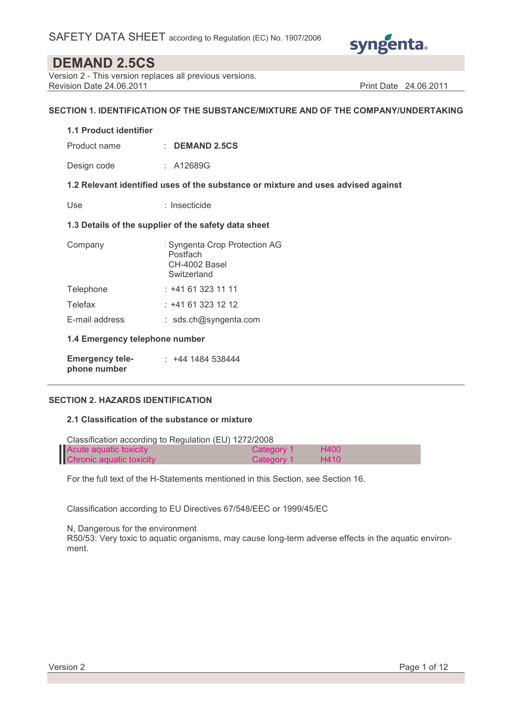

Version 2 - This version replaces all previous versions. Revision Date 24.06.2011 **Print Date 24.06.2011** Print Date 24.06.2011

### SECTION 1. IDENTIFICATION OF THE SUBSTANCE/MIXTURE AND OF THE COMPANY/UNDERTAKING

#### 1.1 Product identifier

Product name : DEMAND 2.5CS

Design code : A12689G

### 1.2 Relevant identified uses of the substance or mixture and uses advised against

Use : Insecticide

### 1.3 Details of the supplier of the safety data sheet

| Company                                | : Syngenta Crop Protection AG<br>Postfach<br>CH-4002 Basel<br>Switzerland |
|----------------------------------------|---------------------------------------------------------------------------|
| Telephone                              | : +41 61 323 11 11                                                        |
| Telefax                                | : +41 61 323 12 12                                                        |
| E-mail address                         | : sds.ch@syngenta.com                                                     |
| 1.4 Emergency telephone number         |                                                                           |
| <b>Emergency tele-</b><br>phone number | : +44 1484 538444                                                         |

### SECTION 2. HAZARDS IDENTIFICATION

### 2.1 Classification of the substance or mixture

| Classification according to Regulation (EU) 1272/2008 |            |      |  |  |  |
|-------------------------------------------------------|------------|------|--|--|--|
| Acute aguatic toxicity                                | Category 1 | H400 |  |  |  |
| Chronic aquatic toxicity                              | Category 1 | H410 |  |  |  |

For the full text of the H-Statements mentioned in this Section, see Section 16.

Classification according to EU Directives 67/548/EEC or 1999/45/EC

N, Dangerous for the environment

R50/53: Very toxic to aquatic organisms, may cause long-term adverse effects in the aquatic environment.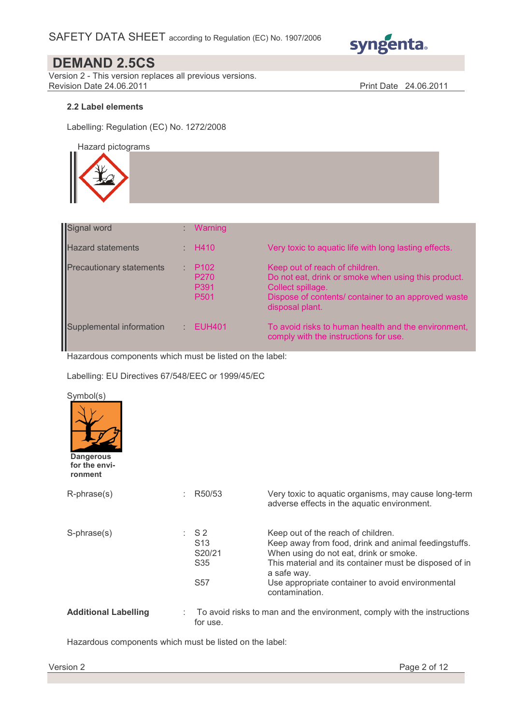

Version 2 - This version replaces all previous versions. Revision Date 24.06.2011 **Print Date 24.06.2011** 

### 2.2 Label elements

Labelling: Regulation (EC) No. 1272/2008

Hazard pictograms

| Signal word                     | <b>Warning</b>                                                   |                                                                                                                                                                                      |
|---------------------------------|------------------------------------------------------------------|--------------------------------------------------------------------------------------------------------------------------------------------------------------------------------------|
| <b>Hazard statements</b>        | $\therefore$ H410                                                | Very toxic to aquatic life with long lasting effects.                                                                                                                                |
| <b>Precautionary statements</b> | P <sub>102</sub><br>P <sub>270</sub><br>P391<br>P <sub>501</sub> | Keep out of reach of children.<br>Do not eat, drink or smoke when using this product.<br>Collect spillage.<br>Dispose of contents/ container to an approved waste<br>disposal plant. |
| Supplemental information        | <b>EUH401</b>                                                    | To avoid risks to human health and the environment,<br>comply with the instructions for use.                                                                                         |

Hazardous components which must be listed on the label:

Labelling: EU Directives 67/548/EEC or 1999/45/EC

| Symbol(s)<br><b>Dangerous</b><br>for the envi-<br>ronment |                                                          |                                                                                                                                                                                                                                                                                     |
|-----------------------------------------------------------|----------------------------------------------------------|-------------------------------------------------------------------------------------------------------------------------------------------------------------------------------------------------------------------------------------------------------------------------------------|
| $R$ -phrase $(s)$                                         | R <sub>50</sub> /53                                      | Very toxic to aquatic organisms, may cause long-term<br>adverse effects in the aquatic environment.                                                                                                                                                                                 |
| S-phrase(s)                                               | $:$ S2<br>S <sub>13</sub><br>S20/21<br>S35<br><b>S57</b> | Keep out of the reach of children.<br>Keep away from food, drink and animal feedingstuffs.<br>When using do not eat, drink or smoke.<br>This material and its container must be disposed of in<br>a safe way.<br>Use appropriate container to avoid environmental<br>contamination. |
| <b>Additional Labelling</b>                               | for use.                                                 | To avoid risks to man and the environment, comply with the instructions                                                                                                                                                                                                             |

Hazardous components which must be listed on the label: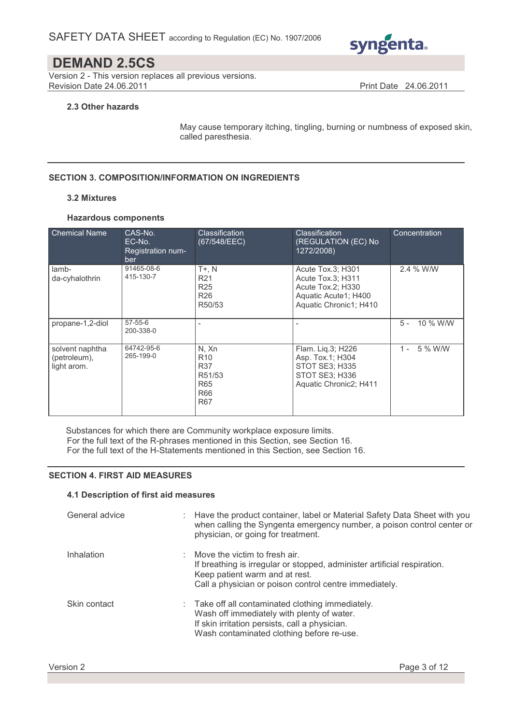

Version 2 - This version replaces all previous versions. Revision Date 24.06.2011 **Print Date 24.06.2011** 

### 2.3 Other hazards

May cause temporary itching, tingling, burning or numbness of exposed skin, called paresthesia.

### SECTION 3. COMPOSITION/INFORMATION ON INGREDIENTS

### 3.2 Mixtures

### Hazardous components

| <b>Chemical Name</b>                           | CAS-No.<br>EC-No.<br>Registration num-<br>ber | <b>Classification</b><br>(67/548/EEC)                                         | <b>Classification</b><br>(REGULATION (EC) No<br>1272/2008)                                                    | Concentration     |
|------------------------------------------------|-----------------------------------------------|-------------------------------------------------------------------------------|---------------------------------------------------------------------------------------------------------------|-------------------|
| lamb-<br>da-cyhalothrin                        | 91465-08-6<br>415-130-7                       | $T+$ , $N$<br>R <sub>21</sub><br>R <sub>25</sub><br>R <sub>26</sub><br>R50/53 | Acute Tox.3; H301<br>Acute Tox.3; H311<br>Acute Tox.2; H330<br>Aquatic Acute1; H400<br>Aquatic Chronic1; H410 | 2.4 % W/W         |
| propane-1,2-diol                               | $57 - 55 - 6$<br>200-338-0                    |                                                                               |                                                                                                               | $5 -$<br>10 % W/W |
| solvent naphtha<br>(petroleum),<br>light arom. | 64742-95-6<br>265-199-0                       | N. Xn<br>R <sub>10</sub><br>R37<br>R51/53<br><b>R65</b><br>R66<br><b>R67</b>  | Flam. Liq.3; H226<br>Asp. Tox.1; H304<br><b>STOT SE3: H335</b><br>STOT SE3; H336<br>Aquatic Chronic2; H411    | $1 -$<br>5 % W/W  |

Substances for which there are Community workplace exposure limits. For the full text of the R-phrases mentioned in this Section, see Section 16.

For the full text of the H-Statements mentioned in this Section, see Section 16.

### SECTION 4. FIRST AID MEASURES

### 4.1 Description of first aid measures

| General advice | Have the product container, label or Material Safety Data Sheet with you<br>when calling the Syngenta emergency number, a poison control center or<br>physician, or going for treatment.              |
|----------------|-------------------------------------------------------------------------------------------------------------------------------------------------------------------------------------------------------|
| Inhalation     | Move the victim to fresh air.<br>If breathing is irregular or stopped, administer artificial respiration.<br>Keep patient warm and at rest.<br>Call a physician or poison control centre immediately. |
| Skin contact   | : Take off all contaminated clothing immediately.<br>Wash off immediately with plenty of water.<br>If skin irritation persists, call a physician.<br>Wash contaminated clothing before re-use.        |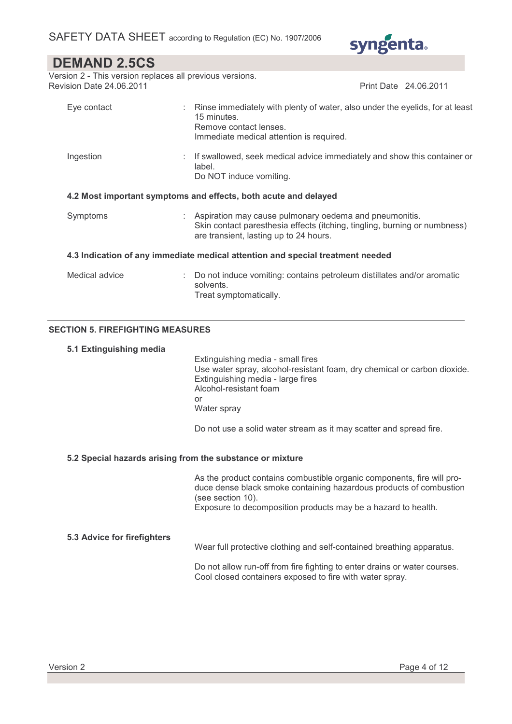

Version 2 - This version replaces all previous versions. Revision Date 24.06.2011 **Print Date 24.06.2011** Print Date 24.06.2011

| Eye contact                                                                    |  | Rinse immediately with plenty of water, also under the eyelids, for at least<br>15 minutes.<br>Remove contact lenses.<br>Immediate medical attention is required.               |  |  |
|--------------------------------------------------------------------------------|--|---------------------------------------------------------------------------------------------------------------------------------------------------------------------------------|--|--|
| Ingestion                                                                      |  | : If swallowed, seek medical advice immediately and show this container or<br>label.<br>Do NOT induce vomiting.                                                                 |  |  |
|                                                                                |  | 4.2 Most important symptoms and effects, both acute and delayed                                                                                                                 |  |  |
| Symptoms                                                                       |  | : Aspiration may cause pulmonary oedema and pneumonitis.<br>Skin contact paresthesia effects (itching, tingling, burning or numbness)<br>are transient, lasting up to 24 hours. |  |  |
| 4.3 Indication of any immediate medical attention and special treatment needed |  |                                                                                                                                                                                 |  |  |
| Medical advice                                                                 |  | Do not induce vomiting: contains petroleum distillates and/or aromatic<br>solvents.<br>Treat symptomatically.                                                                   |  |  |

### SECTION 5. FIREFIGHTING MEASURES

### 5.1 Extinguishing media

 Extinguishing media - small fires Use water spray, alcohol-resistant foam, dry chemical or carbon dioxide. Extinguishing media - large fires Alcohol-resistant foam or Water spray

Do not use a solid water stream as it may scatter and spread fire.

### 5.2 Special hazards arising from the substance or mixture

 As the product contains combustible organic components, fire will produce dense black smoke containing hazardous products of combustion (see section 10). Exposure to decomposition products may be a hazard to health.

### 5.3 Advice for firefighters

Wear full protective clothing and self-contained breathing apparatus.

 Do not allow run-off from fire fighting to enter drains or water courses. Cool closed containers exposed to fire with water spray.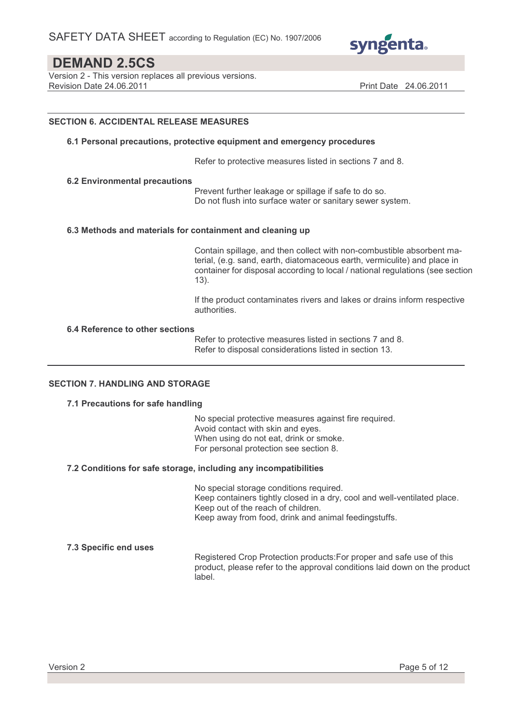

Version 2 - This version replaces all previous versions. Revision Date 24.06.2011 **Print Date 24.06.2011** Print Date 24.06.2011

### SECTION 6. ACCIDENTAL RELEASE MEASURES

#### 6.1 Personal precautions, protective equipment and emergency procedures

Refer to protective measures listed in sections 7 and 8.

#### 6.2 Environmental precautions

 Prevent further leakage or spillage if safe to do so. Do not flush into surface water or sanitary sewer system.

#### 6.3 Methods and materials for containment and cleaning up

 Contain spillage, and then collect with non-combustible absorbent material, (e.g. sand, earth, diatomaceous earth, vermiculite) and place in container for disposal according to local / national regulations (see section 13).

 If the product contaminates rivers and lakes or drains inform respective authorities.

#### 6.4 Reference to other sections

 Refer to protective measures listed in sections 7 and 8. Refer to disposal considerations listed in section 13.

### SECTION 7. HANDLING AND STORAGE

### 7.1 Precautions for safe handling

 No special protective measures against fire required. Avoid contact with skin and eyes. When using do not eat, drink or smoke. For personal protection see section 8.

### 7.2 Conditions for safe storage, including any incompatibilities

 No special storage conditions required. Keep containers tightly closed in a dry, cool and well-ventilated place. Keep out of the reach of children. Keep away from food, drink and animal feedingstuffs.

#### 7.3 Specific end uses

 Registered Crop Protection products:For proper and safe use of this product, please refer to the approval conditions laid down on the product label.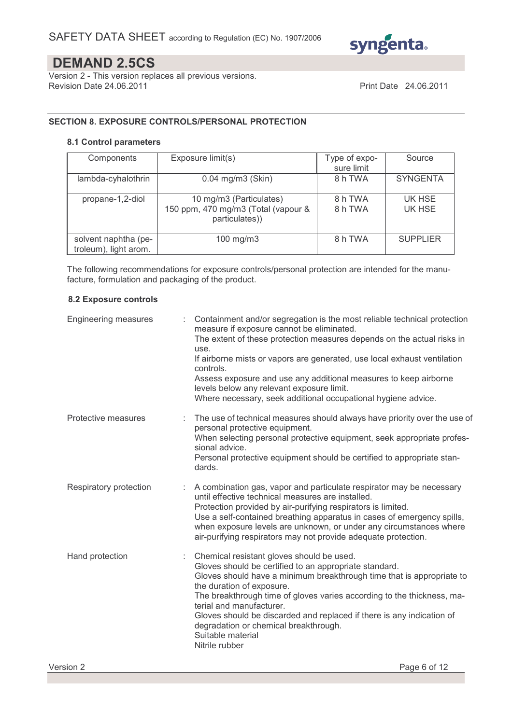

Version 2 - This version replaces all previous versions. Revision Date 24.06.2011 **Print Date 24.06.2011** 

### SECTION 8. EXPOSURE CONTROLS/PERSONAL PROTECTION

### 8.1 Control parameters

| Components                                    | Exposure limit(s)                                                                | Type of expo-<br>sure limit | Source           |
|-----------------------------------------------|----------------------------------------------------------------------------------|-----------------------------|------------------|
| lambda-cyhalothrin                            | $0.04$ mg/m $3$ (Skin)                                                           | 8 h TWA                     | <b>SYNGENTA</b>  |
| propane-1,2-diol                              | 10 mg/m3 (Particulates)<br>150 ppm, 470 mg/m3 (Total (vapour &<br>particulates)) | 8 h TWA<br>8 h TWA          | UK HSE<br>UK HSE |
| solvent naphtha (pe-<br>troleum), light arom. | 100 mg/m3                                                                        | 8 h TWA                     | <b>SUPPLIER</b>  |

The following recommendations for exposure controls/personal protection are intended for the manufacture, formulation and packaging of the product.

### 8.2 Exposure controls

| <b>Engineering measures</b> | Containment and/or segregation is the most reliable technical protection<br>measure if exposure cannot be eliminated.<br>The extent of these protection measures depends on the actual risks in<br>use.<br>If airborne mists or vapors are generated, use local exhaust ventilation<br>controls.<br>Assess exposure and use any additional measures to keep airborne<br>levels below any relevant exposure limit.<br>Where necessary, seek additional occupational hygiene advice. |
|-----------------------------|------------------------------------------------------------------------------------------------------------------------------------------------------------------------------------------------------------------------------------------------------------------------------------------------------------------------------------------------------------------------------------------------------------------------------------------------------------------------------------|
| Protective measures         | The use of technical measures should always have priority over the use of<br>personal protective equipment.<br>When selecting personal protective equipment, seek appropriate profes-<br>sional advice.<br>Personal protective equipment should be certified to appropriate stan-<br>dards.                                                                                                                                                                                        |
| Respiratory protection      | : A combination gas, vapor and particulate respirator may be necessary<br>until effective technical measures are installed.<br>Protection provided by air-purifying respirators is limited.<br>Use a self-contained breathing apparatus in cases of emergency spills,<br>when exposure levels are unknown, or under any circumstances where<br>air-purifying respirators may not provide adequate protection.                                                                      |
| Hand protection             | Chemical resistant gloves should be used.<br>Gloves should be certified to an appropriate standard.<br>Gloves should have a minimum breakthrough time that is appropriate to<br>the duration of exposure.<br>The breakthrough time of gloves varies according to the thickness, ma-<br>terial and manufacturer.<br>Gloves should be discarded and replaced if there is any indication of<br>degradation or chemical breakthrough.<br>Suitable material<br>Nitrile rubber           |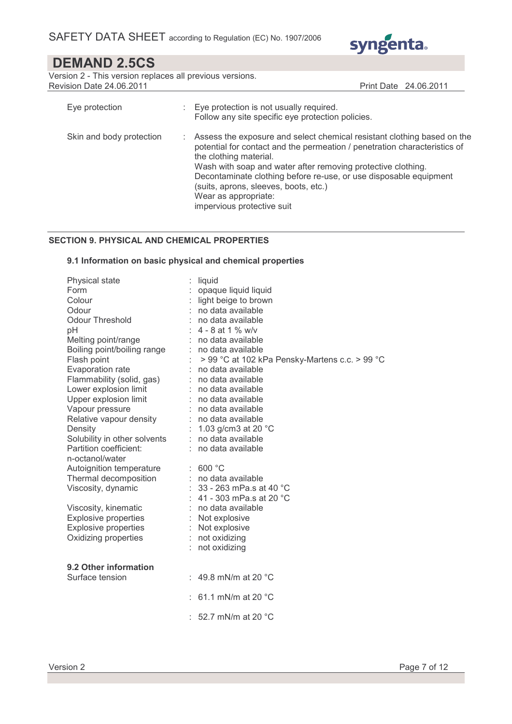

Version 2 - This version replaces all previous versions. Revision Date 24.06.2011 **Print Date 24.06.2011** 

| Eye protection           |    | : Eye protection is not usually required.<br>Follow any site specific eye protection policies.                                                                                                                                                                                                                                                                                                                     |
|--------------------------|----|--------------------------------------------------------------------------------------------------------------------------------------------------------------------------------------------------------------------------------------------------------------------------------------------------------------------------------------------------------------------------------------------------------------------|
| Skin and body protection | ÷. | Assess the exposure and select chemical resistant clothing based on the<br>potential for contact and the permeation / penetration characteristics of<br>the clothing material.<br>Wash with soap and water after removing protective clothing.<br>Decontaminate clothing before re-use, or use disposable equipment<br>(suits, aprons, sleeves, boots, etc.)<br>Wear as appropriate:<br>impervious protective suit |

### SECTION 9. PHYSICAL AND CHEMICAL PROPERTIES

### 9.1 Information on basic physical and chemical properties

| Physical state               | liquid                                         |
|------------------------------|------------------------------------------------|
| Form                         | : opaque liquid liquid                         |
| Colour                       | light beige to brown                           |
| Odour                        | no data available                              |
| <b>Odour Threshold</b>       | no data available                              |
| рH                           | : $4 - 8$ at 1 % w/v                           |
| Melting point/range          | : no data available                            |
| Boiling point/boiling range  | : no data available                            |
| Flash point                  | > 99 °C at 102 kPa Pensky-Martens c.c. > 99 °C |
| Evaporation rate             | no data available                              |
| Flammability (solid, gas)    | no data available                              |
| Lower explosion limit        | no data available                              |
| Upper explosion limit        | no data available                              |
| Vapour pressure              | no data available                              |
| Relative vapour density      | $:$ no data available                          |
| Density                      | 1.03 g/cm3 at 20 $^{\circ}$ C                  |
| Solubility in other solvents | no data available                              |
| Partition coefficient:       | no data available                              |
| n-octanol/water              |                                                |
| Autoignition temperature     | : 600 °C                                       |
| Thermal decomposition        | : no data available                            |
| Viscosity, dynamic           | : $33 - 263$ mPa.s at 40 °C                    |
|                              | 41 - 303 mPa.s at 20 °C                        |
| Viscosity, kinematic         | no data available                              |
| <b>Explosive properties</b>  | Not explosive                                  |
| <b>Explosive properties</b>  | Not explosive                                  |
| Oxidizing properties         | not oxidizing                                  |
|                              | : not oxidizing                                |
|                              |                                                |
| 9.2 Other information        |                                                |
| Surface tension              | : 49.8 mN/m at 20 $^{\circ}$ C                 |
|                              |                                                |
|                              | : 61.1 mN/m at 20 $^{\circ}$ C                 |
|                              |                                                |
|                              | : 52.7 mN/m at 20 $^{\circ}$ C                 |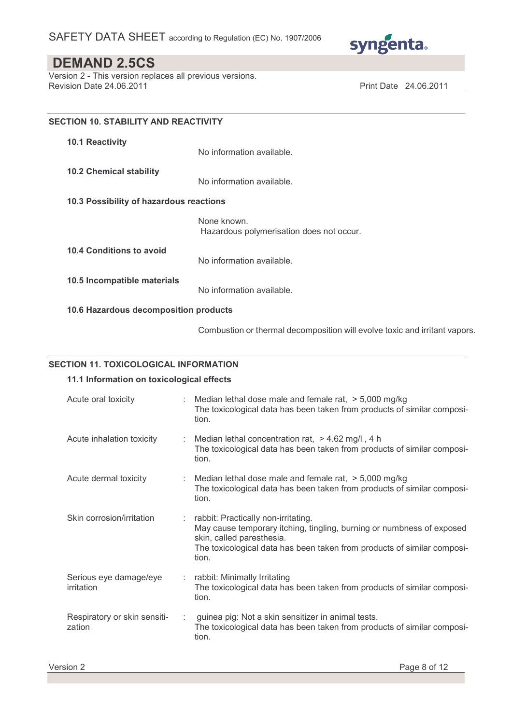

Version 2 - This version replaces all previous versions. Revision Date 24.06.2011 **Print Date 24.06.2011** 

| <b>SECTION 10. STABILITY AND REACTIVITY</b> |                                                                            |  |
|---------------------------------------------|----------------------------------------------------------------------------|--|
| <b>10.1 Reactivity</b>                      | No information available.                                                  |  |
| <b>10.2 Chemical stability</b>              | No information available.                                                  |  |
| 10.3 Possibility of hazardous reactions     |                                                                            |  |
|                                             | None known.<br>Hazardous polymerisation does not occur.                    |  |
| 10.4 Conditions to avoid                    | No information available.                                                  |  |
| 10.5 Incompatible materials                 | No information available.                                                  |  |
| 10.6 Hazardous decomposition products       |                                                                            |  |
|                                             | Combustion or thermal decomposition will evolve toxic and irritant vapors. |  |

### SECTION 11. TOXICOLOGICAL INFORMATION

### 11.1 Information on toxicological effects

| Acute oral toxicity                    | Median lethal dose male and female rat, $>$ 5,000 mg/kg<br>The toxicological data has been taken from products of similar composi-<br>tion.                                                                                   |
|----------------------------------------|-------------------------------------------------------------------------------------------------------------------------------------------------------------------------------------------------------------------------------|
| Acute inhalation toxicity              | Median lethal concentration rat, $>$ 4.62 mg/l, 4 h<br>The toxicological data has been taken from products of similar composi-<br>tion.                                                                                       |
| Acute dermal toxicity                  | : Median lethal dose male and female rat, $>$ 5,000 mg/kg<br>The toxicological data has been taken from products of similar composi-<br>tion.                                                                                 |
| Skin corrosion/irritation              | rabbit: Practically non-irritating.<br>May cause temporary itching, tingling, burning or numbness of exposed<br>skin, called paresthesia.<br>The toxicological data has been taken from products of similar composi-<br>tion. |
| Serious eye damage/eye<br>irritation   | rabbit: Minimally Irritating<br>The toxicological data has been taken from products of similar composi-<br>tion.                                                                                                              |
| Respiratory or skin sensiti-<br>zation | guinea pig: Not a skin sensitizer in animal tests.<br>The toxicological data has been taken from products of similar composi-<br>tion.                                                                                        |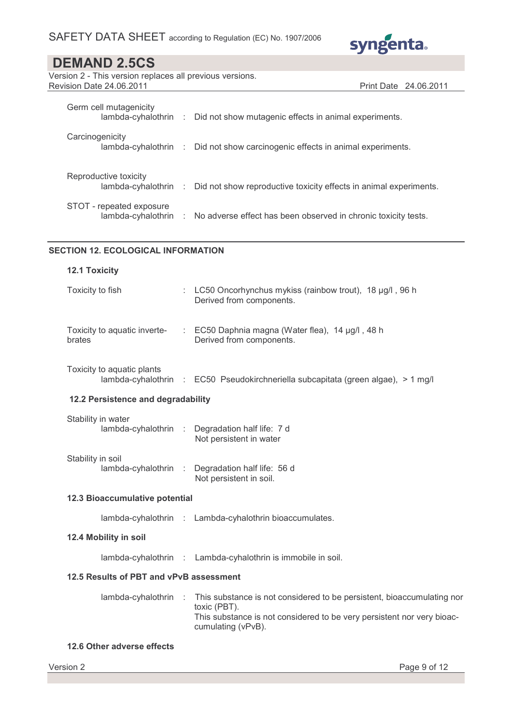

Print Date 24.06.2011

## DEMAND 2.5CS

| Version 2 - This version replaces all previous versions. |  |
|----------------------------------------------------------|--|
| Revision Date 24.06.2011                                 |  |

Germ cell mutagenicity lambda-cyhalothrin : Did not show mutagenic effects in animal experiments. **Carcinogenicity** lambda-cyhalothrin : Did not show carcinogenic effects in animal experiments. Reproductive toxicity lambda-cyhalothrin : Did not show reproductive toxicity effects in animal experiments. STOT - repeated exposure lambda-cyhalothrin : No adverse effect has been observed in chronic toxicity tests.

### SECTION 12. ECOLOGICAL INFORMATION

| <b>12.1 Toxicity</b>                       |      |                                                                                                                                                                                        |  |
|--------------------------------------------|------|----------------------------------------------------------------------------------------------------------------------------------------------------------------------------------------|--|
| Toxicity to fish                           |      | : LC50 Oncorhynchus mykiss (rainbow trout), 18 µg/l, 96 h<br>Derived from components.                                                                                                  |  |
| Toxicity to aquatic inverte-<br>brates     |      | : EC50 Daphnia magna (Water flea), 14 µg/l, 48 h<br>Derived from components.                                                                                                           |  |
| Toxicity to aquatic plants                 |      | lambda-cyhalothrin : EC50 Pseudokirchneriella subcapitata (green algae), > 1 mg/l                                                                                                      |  |
| 12.2 Persistence and degradability         |      |                                                                                                                                                                                        |  |
| Stability in water<br>lambda-cyhalothrin : |      | Degradation half life: 7 d<br>Not persistent in water                                                                                                                                  |  |
| Stability in soil<br>lambda-cyhalothrin    | - to | Degradation half life: 56 d<br>Not persistent in soil.                                                                                                                                 |  |
| 12.3 Bioaccumulative potential             |      |                                                                                                                                                                                        |  |
|                                            |      | lambda-cyhalothrin : Lambda-cyhalothrin bioaccumulates.                                                                                                                                |  |
| 12.4 Mobility in soil                      |      |                                                                                                                                                                                        |  |
|                                            |      | lambda-cyhalothrin : Lambda-cyhalothrin is immobile in soil.                                                                                                                           |  |
| 12.5 Results of PBT and vPvB assessment    |      |                                                                                                                                                                                        |  |
| lambda-cyhalothrin :                       |      | This substance is not considered to be persistent, bioaccumulating nor<br>toxic (PBT).<br>This substance is not considered to be very persistent nor very bioac-<br>cumulating (vPvB). |  |
| 12.6 Other adverse effects                 |      |                                                                                                                                                                                        |  |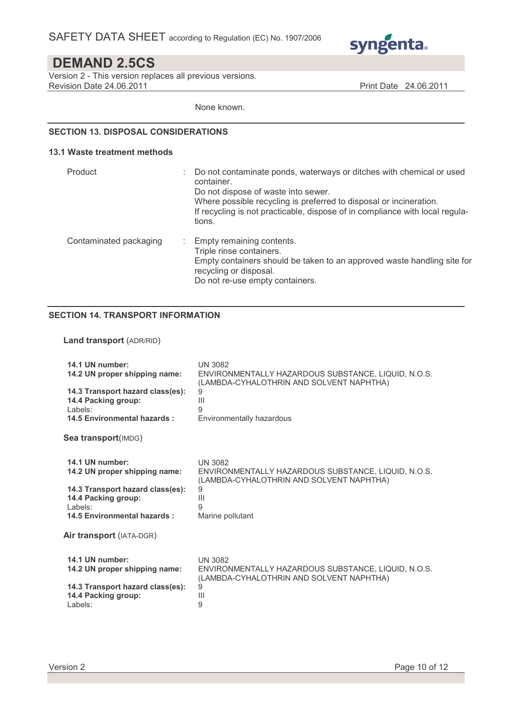

Version 2 - This version replaces all previous versions. Revision Date 24.06.2011 Print Date 24.06.2011

None known.

### SECTION 13. DISPOSAL CONSIDERATIONS

#### 13.1 Waste treatment methods

| Product                | Do not contaminate ponds, waterways or ditches with chemical or used<br>container.<br>Do not dispose of waste into sewer.<br>Where possible recycling is preferred to disposal or incineration.<br>If recycling is not practicable, dispose of in compliance with local regula-<br>tions. |
|------------------------|-------------------------------------------------------------------------------------------------------------------------------------------------------------------------------------------------------------------------------------------------------------------------------------------|
| Contaminated packaging | Empty remaining contents.<br>Triple rinse containers.<br>Empty containers should be taken to an approved waste handling site for<br>recycling or disposal.<br>Do not re-use empty containers.                                                                                             |

### SECTION 14. TRANSPORT INFORMATION

### Land transport (ADR/RID)

| 14.1 UN number:                                                                                                        | <b>UN 3082</b>                                                                                                                   |
|------------------------------------------------------------------------------------------------------------------------|----------------------------------------------------------------------------------------------------------------------------------|
| 14.2 UN proper shipping name:                                                                                          | ENVIRONMENTALLY HAZARDOUS SUBSTANCE, LIQUID, N.O.S.                                                                              |
| 14.3 Transport hazard class(es):                                                                                       | (LAMBDA-CYHALOTHRIN AND SOLVENT NAPHTHA)                                                                                         |
| 14.4 Packing group:                                                                                                    | 9                                                                                                                                |
| Labels:                                                                                                                | Ш                                                                                                                                |
| 14.5 Environmental hazards:                                                                                            | 9                                                                                                                                |
| <b>Sea transport</b> (IMDG)                                                                                            | Environmentally hazardous                                                                                                        |
| 14.1 UN number:                                                                                                        | <b>UN 3082</b>                                                                                                                   |
| 14.2 UN proper shipping name:                                                                                          | ENVIRONMENTALLY HAZARDOUS SUBSTANCE, LIQUID, N.O.S.                                                                              |
| 14.3 Transport hazard class(es):                                                                                       | (LAMBDA-CYHALOTHRIN AND SOLVENT NAPHTHA)                                                                                         |
| 14.4 Packing group:                                                                                                    | 9                                                                                                                                |
| Labels:                                                                                                                | Ш                                                                                                                                |
| 14.5 Environmental hazards:                                                                                            | 9                                                                                                                                |
| Air transport (IATA-DGR)                                                                                               | Marine pollutant                                                                                                                 |
| 14.1 UN number:<br>14.2 UN proper shipping name:<br>14.3 Transport hazard class(es):<br>14.4 Packing group:<br>Labels: | <b>UN 3082</b><br>ENVIRONMENTALLY HAZARDOUS SUBSTANCE, LIQUID, N.O.S.<br>(LAMBDA-CYHALOTHRIN AND SOLVENT NAPHTHA)<br>9<br>Ш<br>9 |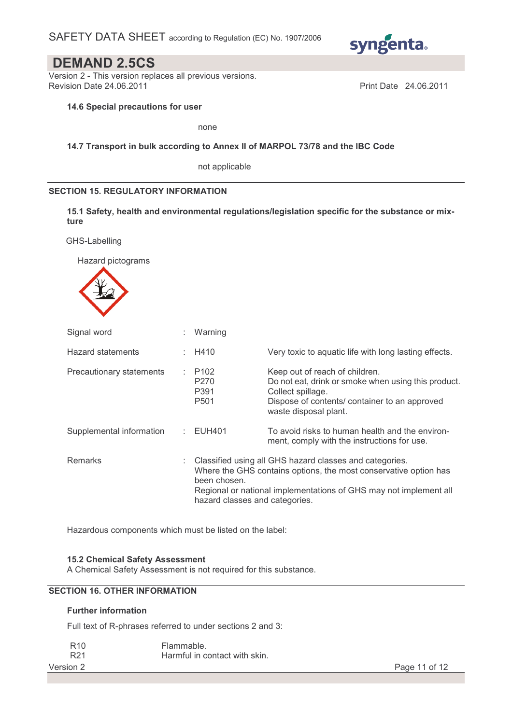

Version 2 - This version replaces all previous versions. Revision Date 24.06.2011 **Print Date 24.06.2011** 

### 14.6 Special precautions for user

none

### 14.7 Transport in bulk according to Annex II of MARPOL 73/78 and the IBC Code

not applicable

### SECTION 15. REGULATORY INFORMATION

15.1 Safety, health and environmental regulations/legislation specific for the substance or mixture

GHS-Labelling

Hazard pictograms



| Signal word              |   | : Warning                                                                                                                                                                                                                                          |                                                                                                                                                                                      |
|--------------------------|---|----------------------------------------------------------------------------------------------------------------------------------------------------------------------------------------------------------------------------------------------------|--------------------------------------------------------------------------------------------------------------------------------------------------------------------------------------|
| Hazard statements        |   | H410                                                                                                                                                                                                                                               | Very toxic to aquatic life with long lasting effects.                                                                                                                                |
| Precautionary statements |   | $\therefore$ P102<br>P <sub>270</sub><br>P391<br>P <sub>501</sub>                                                                                                                                                                                  | Keep out of reach of children.<br>Do not eat, drink or smoke when using this product.<br>Collect spillage.<br>Dispose of contents/ container to an approved<br>waste disposal plant. |
| Supplemental information |   | $\therefore$ EUH401                                                                                                                                                                                                                                | To avoid risks to human health and the environ-<br>ment, comply with the instructions for use.                                                                                       |
| <b>Remarks</b>           | ÷ | Classified using all GHS hazard classes and categories.<br>Where the GHS contains options, the most conservative option has<br>been chosen.<br>Regional or national implementations of GHS may not implement all<br>hazard classes and categories. |                                                                                                                                                                                      |

Hazardous components which must be listed on the label:

### 15.2 Chemical Safety Assessment

A Chemical Safety Assessment is not required for this substance.

### SECTION 16. OTHER INFORMATION

### Further information

Full text of R-phrases referred to under sections 2 and 3:

| R <sub>10</sub> | Flammable.                    |               |
|-----------------|-------------------------------|---------------|
| R <sub>21</sub> | Harmful in contact with skin. |               |
| Version 2       |                               | Page 11 of 12 |

| Page 11 of 12 |  |  |  |
|---------------|--|--|--|
|---------------|--|--|--|